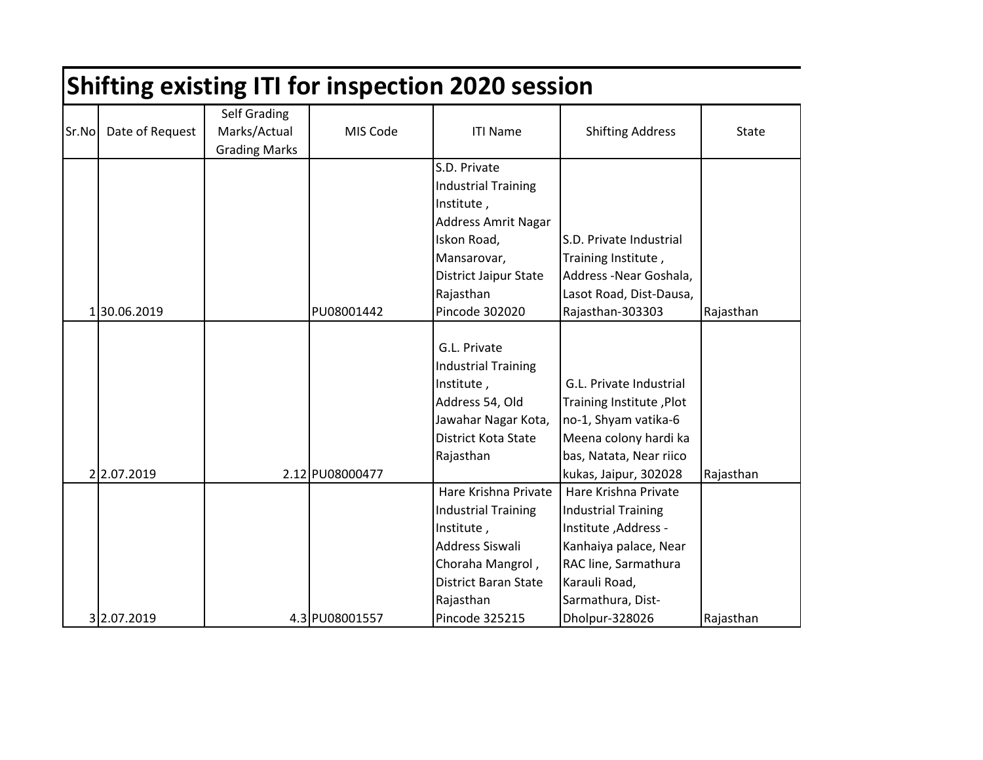|       | <b>Shifting existing ITI for inspection 2020 session</b> |                      |                 |                             |                            |           |  |  |  |
|-------|----------------------------------------------------------|----------------------|-----------------|-----------------------------|----------------------------|-----------|--|--|--|
|       |                                                          | <b>Self Grading</b>  |                 |                             |                            |           |  |  |  |
| Sr.No | Date of Request                                          | Marks/Actual         | MIS Code        | <b>ITI Name</b>             | <b>Shifting Address</b>    | State     |  |  |  |
|       |                                                          | <b>Grading Marks</b> |                 |                             |                            |           |  |  |  |
|       |                                                          |                      |                 | S.D. Private                |                            |           |  |  |  |
|       |                                                          |                      |                 | <b>Industrial Training</b>  |                            |           |  |  |  |
|       |                                                          |                      |                 | Institute,                  |                            |           |  |  |  |
|       |                                                          |                      |                 | <b>Address Amrit Nagar</b>  |                            |           |  |  |  |
|       |                                                          |                      |                 | Iskon Road,                 | S.D. Private Industrial    |           |  |  |  |
|       |                                                          |                      |                 | Mansarovar,                 | Training Institute,        |           |  |  |  |
|       |                                                          |                      |                 | District Jaipur State       | Address -Near Goshala,     |           |  |  |  |
|       |                                                          |                      |                 | Rajasthan                   | Lasot Road, Dist-Dausa,    |           |  |  |  |
|       | 130.06.2019                                              |                      | PU08001442      | Pincode 302020              | Rajasthan-303303           | Rajasthan |  |  |  |
|       |                                                          |                      |                 |                             |                            |           |  |  |  |
|       |                                                          |                      |                 | G.L. Private                |                            |           |  |  |  |
|       |                                                          |                      |                 | <b>Industrial Training</b>  |                            |           |  |  |  |
|       |                                                          |                      |                 | Institute,                  | G.L. Private Industrial    |           |  |  |  |
|       |                                                          |                      |                 | Address 54, Old             | Training Institute, Plot   |           |  |  |  |
|       |                                                          |                      |                 | Jawahar Nagar Kota,         | no-1, Shyam vatika-6       |           |  |  |  |
|       |                                                          |                      |                 | <b>District Kota State</b>  | Meena colony hardi ka      |           |  |  |  |
|       |                                                          |                      |                 | Rajasthan                   | bas, Natata, Near riico    |           |  |  |  |
|       | 2 2.07.2019                                              |                      | 2.12 PU08000477 |                             | kukas, Jaipur, 302028      | Rajasthan |  |  |  |
|       |                                                          |                      |                 | Hare Krishna Private        | Hare Krishna Private       |           |  |  |  |
|       |                                                          |                      |                 | <b>Industrial Training</b>  | <b>Industrial Training</b> |           |  |  |  |
|       |                                                          |                      |                 | Institute,                  | Institute, Address -       |           |  |  |  |
|       |                                                          |                      |                 | Address Siswali             | Kanhaiya palace, Near      |           |  |  |  |
|       |                                                          |                      |                 | Choraha Mangrol,            | RAC line, Sarmathura       |           |  |  |  |
|       |                                                          |                      |                 | <b>District Baran State</b> | Karauli Road,              |           |  |  |  |
|       |                                                          |                      |                 | Rajasthan                   | Sarmathura, Dist-          |           |  |  |  |
|       | 3 2.07.2019                                              |                      | 4.3 PU08001557  | <b>Pincode 325215</b>       | Dholpur-328026             | Rajasthan |  |  |  |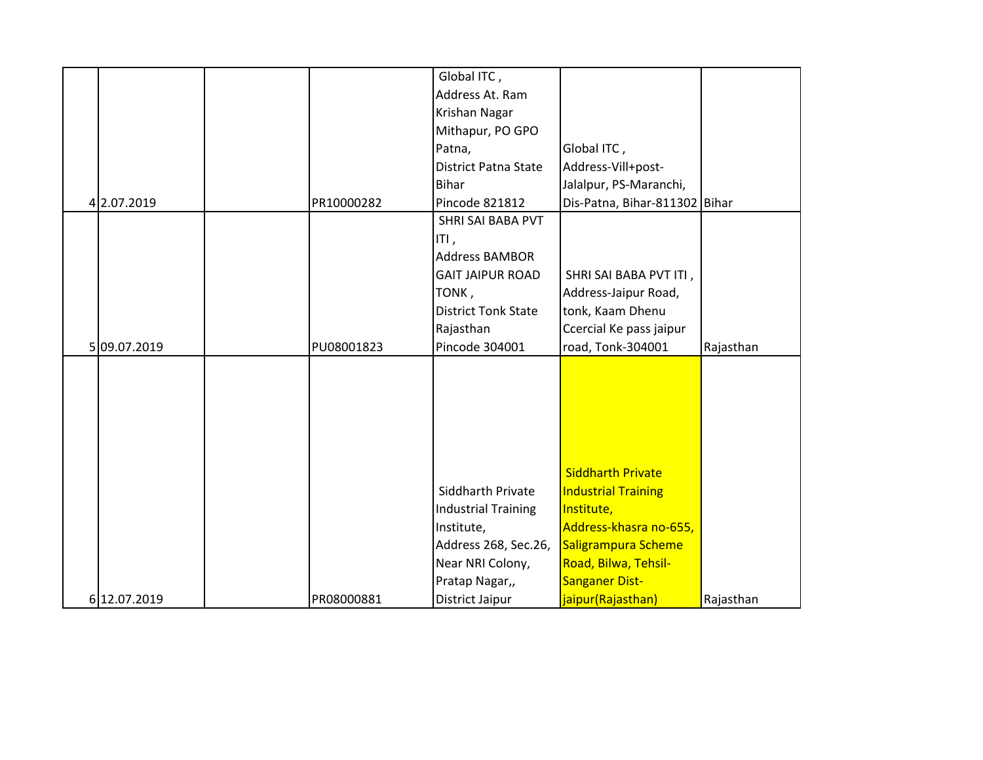|             |            | Global ITC,                 |                               |           |
|-------------|------------|-----------------------------|-------------------------------|-----------|
|             |            | Address At. Ram             |                               |           |
|             |            | Krishan Nagar               |                               |           |
|             |            | Mithapur, PO GPO            |                               |           |
|             |            | Patna,                      | Global ITC,                   |           |
|             |            | <b>District Patna State</b> | Address-Vill+post-            |           |
|             |            | <b>Bihar</b>                | Jalalpur, PS-Maranchi,        |           |
| 4 2.07.2019 | PR10000282 | Pincode 821812              | Dis-Patna, Bihar-811302 Bihar |           |
|             |            | SHRI SAI BABA PVT           |                               |           |
|             |            | ITI,                        |                               |           |
|             |            | <b>Address BAMBOR</b>       |                               |           |
|             |            | <b>GAIT JAIPUR ROAD</b>     | SHRI SAI BABA PVT ITI,        |           |
|             |            |                             | Address-Jaipur Road,          |           |
|             |            | TONK,                       |                               |           |
|             |            | <b>District Tonk State</b>  | tonk, Kaam Dhenu              |           |
|             |            | Rajasthan                   | Ccercial Ke pass jaipur       |           |
| 509.07.2019 | PU08001823 | Pincode 304001              | road, Tonk-304001             | Rajasthan |
|             |            |                             |                               |           |
|             |            |                             |                               |           |
|             |            |                             |                               |           |
|             |            |                             |                               |           |
|             |            |                             |                               |           |
|             |            |                             |                               |           |
|             |            |                             | <b>Siddharth Private</b>      |           |
|             |            | Siddharth Private           | <b>Industrial Training</b>    |           |
|             |            | <b>Industrial Training</b>  | Institute,                    |           |
|             |            | Institute,                  | Address-khasra no-655,        |           |
|             |            | Address 268, Sec.26,        | Saligrampura Scheme           |           |
|             |            | Near NRI Colony,            | Road, Bilwa, Tehsil-          |           |
|             |            | Pratap Nagar,,              | <b>Sanganer Dist-</b>         |           |
|             |            |                             |                               |           |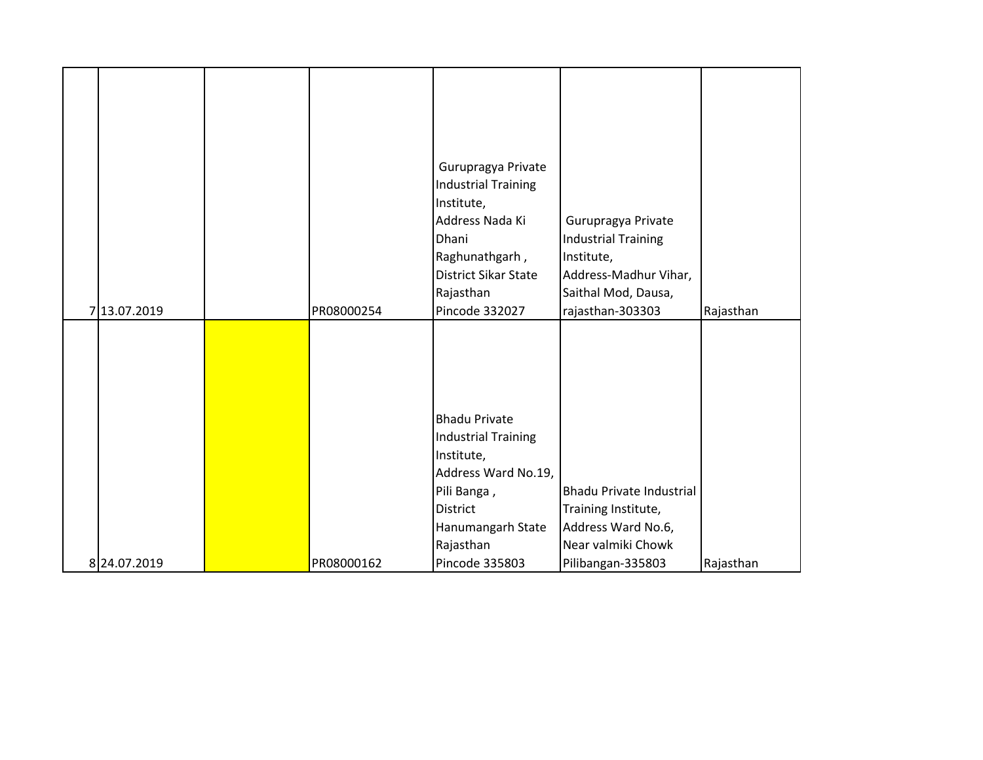|              |            | Gurupragya Private         |                                 |           |
|--------------|------------|----------------------------|---------------------------------|-----------|
|              |            | <b>Industrial Training</b> |                                 |           |
|              |            | Institute,                 |                                 |           |
|              |            | Address Nada Ki            | Gurupragya Private              |           |
|              |            | Dhani                      | <b>Industrial Training</b>      |           |
|              |            | Raghunathgarh,             | Institute,                      |           |
|              |            | District Sikar State       | Address-Madhur Vihar,           |           |
|              |            | Rajasthan                  | Saithal Mod, Dausa,             |           |
| 7 13.07.2019 | PR08000254 | Pincode 332027             | rajasthan-303303                | Rajasthan |
|              |            |                            |                                 |           |
|              |            |                            |                                 |           |
|              |            |                            |                                 |           |
|              |            |                            |                                 |           |
|              |            |                            |                                 |           |
|              |            |                            |                                 |           |
|              |            | <b>Bhadu Private</b>       |                                 |           |
|              |            | <b>Industrial Training</b> |                                 |           |
|              |            | Institute,                 |                                 |           |
|              |            | Address Ward No.19,        |                                 |           |
|              |            | Pili Banga,                | <b>Bhadu Private Industrial</b> |           |
|              |            | District                   | Training Institute,             |           |
|              |            | Hanumangarh State          | Address Ward No.6,              |           |
|              |            | Rajasthan                  | Near valmiki Chowk              |           |
| 8 24.07.2019 | PR08000162 | Pincode 335803             | Pilibangan-335803               | Rajasthan |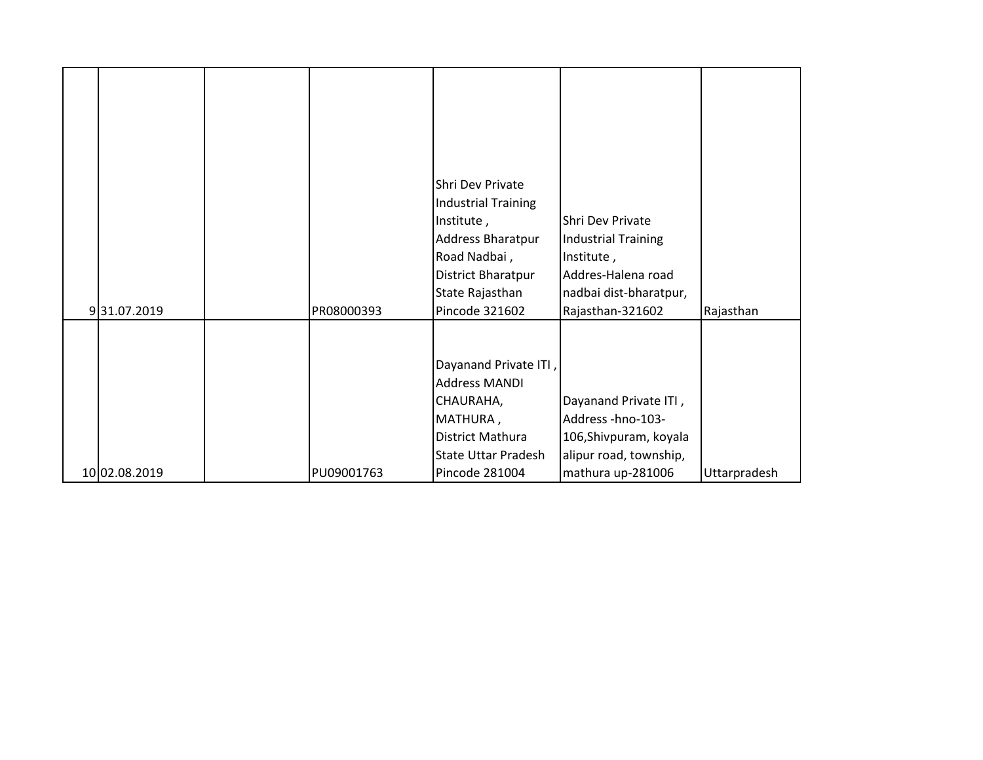|               |            | Shri Dev Private           |                            |              |
|---------------|------------|----------------------------|----------------------------|--------------|
|               |            | <b>Industrial Training</b> |                            |              |
|               |            | Institute,                 | Shri Dev Private           |              |
|               |            | Address Bharatpur          | <b>Industrial Training</b> |              |
|               |            | Road Nadbai,               | Institute,                 |              |
|               |            | <b>District Bharatpur</b>  | Addres-Halena road         |              |
|               |            | State Rajasthan            | nadbai dist-bharatpur,     |              |
| 931.07.2019   | PR08000393 | Pincode 321602             | Rajasthan-321602           | Rajasthan    |
|               |            |                            |                            |              |
|               |            |                            |                            |              |
|               |            | Dayanand Private ITI,      |                            |              |
|               |            | <b>Address MANDI</b>       |                            |              |
|               |            | CHAURAHA,                  | Dayanand Private ITI,      |              |
|               |            | MATHURA,                   | Address-hno-103-           |              |
|               |            | District Mathura           | 106, Shivpuram, koyala     |              |
|               |            | <b>State Uttar Pradesh</b> | alipur road, township,     |              |
| 10 02.08.2019 | PU09001763 | Pincode 281004             | mathura up-281006          | Uttarpradesh |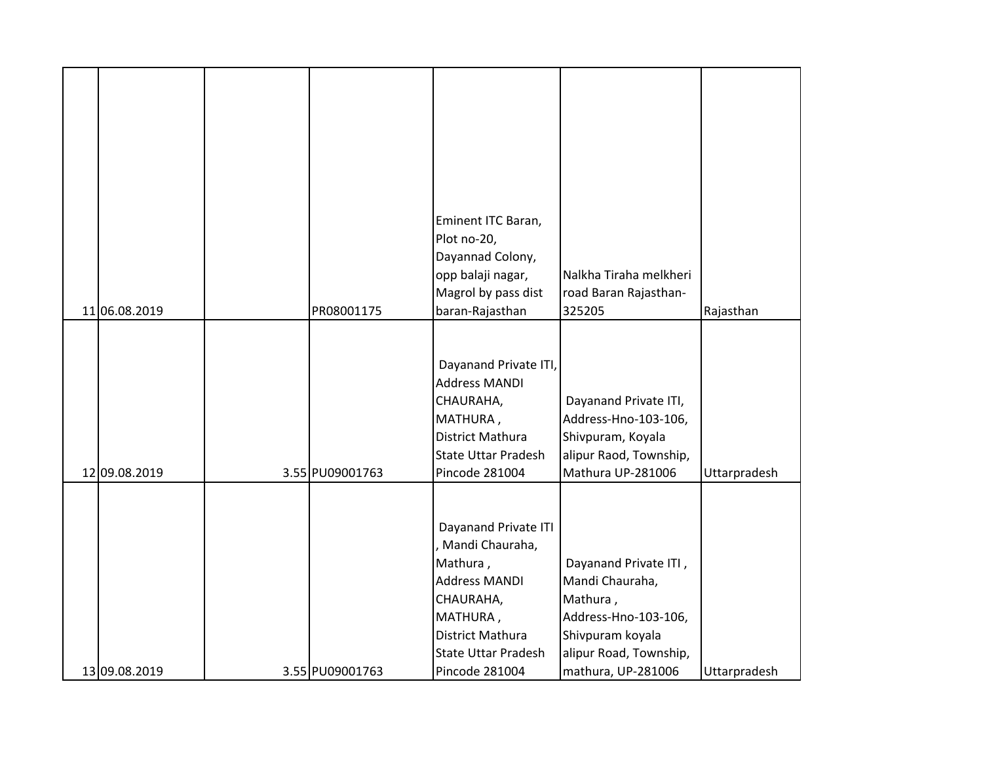|               |                 | Eminent ITC Baran,         |                        |              |
|---------------|-----------------|----------------------------|------------------------|--------------|
|               |                 | Plot no-20,                |                        |              |
|               |                 | Dayannad Colony,           |                        |              |
|               |                 | opp balaji nagar,          | Nalkha Tiraha melkheri |              |
|               |                 | Magrol by pass dist        | road Baran Rajasthan-  |              |
| 11 06.08.2019 | PR08001175      | baran-Rajasthan            | 325205                 | Rajasthan    |
|               |                 |                            |                        |              |
|               |                 |                            |                        |              |
|               |                 | Dayanand Private ITI,      |                        |              |
|               |                 | <b>Address MANDI</b>       |                        |              |
|               |                 | CHAURAHA,                  | Dayanand Private ITI,  |              |
|               |                 | MATHURA,                   | Address-Hno-103-106,   |              |
|               |                 | District Mathura           | Shivpuram, Koyala      |              |
|               |                 | <b>State Uttar Pradesh</b> | alipur Raod, Township, |              |
| 12 09.08.2019 | 3.55 PU09001763 | Pincode 281004             | Mathura UP-281006      | Uttarpradesh |
|               |                 |                            |                        |              |
|               |                 |                            |                        |              |
|               |                 | Dayanand Private ITI       |                        |              |
|               |                 | , Mandi Chauraha,          |                        |              |
|               |                 | Mathura,                   | Dayanand Private ITI,  |              |
|               |                 | <b>Address MANDI</b>       | Mandi Chauraha,        |              |
|               |                 | CHAURAHA,                  | Mathura,               |              |
|               |                 | MATHURA,                   | Address-Hno-103-106,   |              |
|               |                 | District Mathura           | Shivpuram koyala       |              |
|               |                 | <b>State Uttar Pradesh</b> | alipur Road, Township, |              |
| 13 09.08.2019 | 3.55 PU09001763 | Pincode 281004             | mathura, UP-281006     | Uttarpradesh |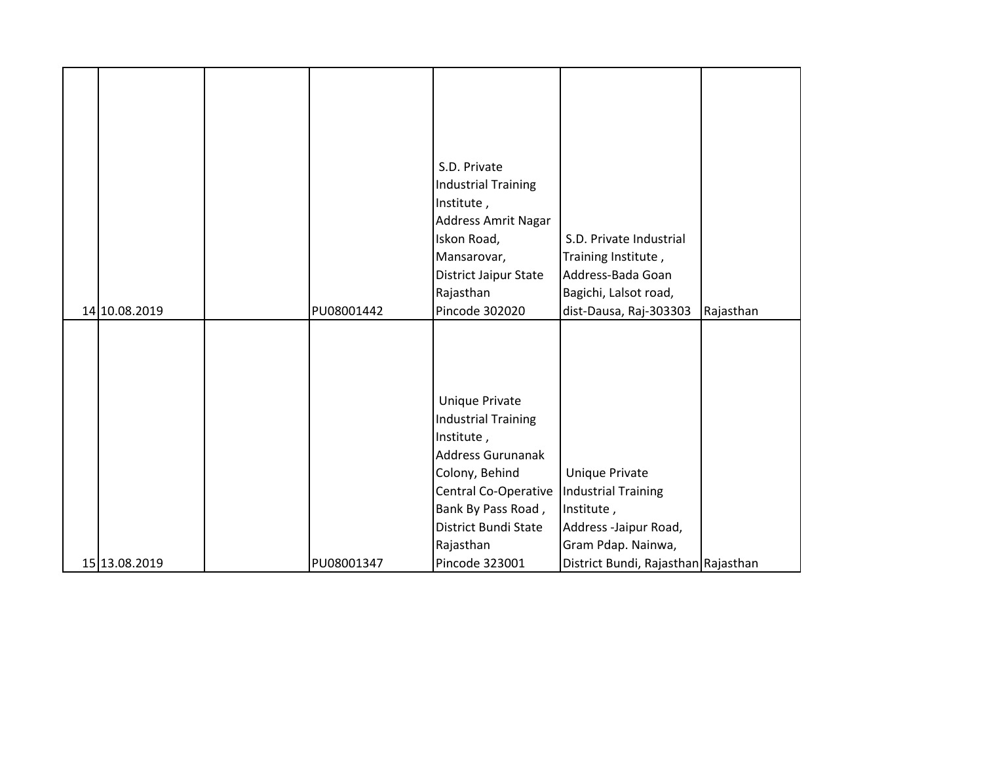|               |            | S.D. Private               |                                     |           |
|---------------|------------|----------------------------|-------------------------------------|-----------|
|               |            | <b>Industrial Training</b> |                                     |           |
|               |            | Institute,                 |                                     |           |
|               |            | Address Amrit Nagar        |                                     |           |
|               |            | Iskon Road,                | S.D. Private Industrial             |           |
|               |            | Mansarovar,                | Training Institute,                 |           |
|               |            | District Jaipur State      | Address-Bada Goan                   |           |
|               |            | Rajasthan                  | Bagichi, Lalsot road,               |           |
| 14 10.08.2019 | PU08001442 | Pincode 302020             | dist-Dausa, Raj-303303              | Rajasthan |
|               |            |                            |                                     |           |
|               |            |                            |                                     |           |
|               |            |                            |                                     |           |
|               |            |                            |                                     |           |
|               |            | Unique Private             |                                     |           |
|               |            | <b>Industrial Training</b> |                                     |           |
|               |            | Institute,                 |                                     |           |
|               |            | <b>Address Gurunanak</b>   |                                     |           |
|               |            | Colony, Behind             | Unique Private                      |           |
|               |            | Central Co-Operative       | <b>Industrial Training</b>          |           |
|               |            | Bank By Pass Road,         | Institute,                          |           |
|               |            | District Bundi State       | Address -Jaipur Road,               |           |
|               |            | Rajasthan                  | Gram Pdap. Nainwa,                  |           |
| 15 13.08.2019 | PU08001347 | Pincode 323001             | District Bundi, Rajasthan Rajasthan |           |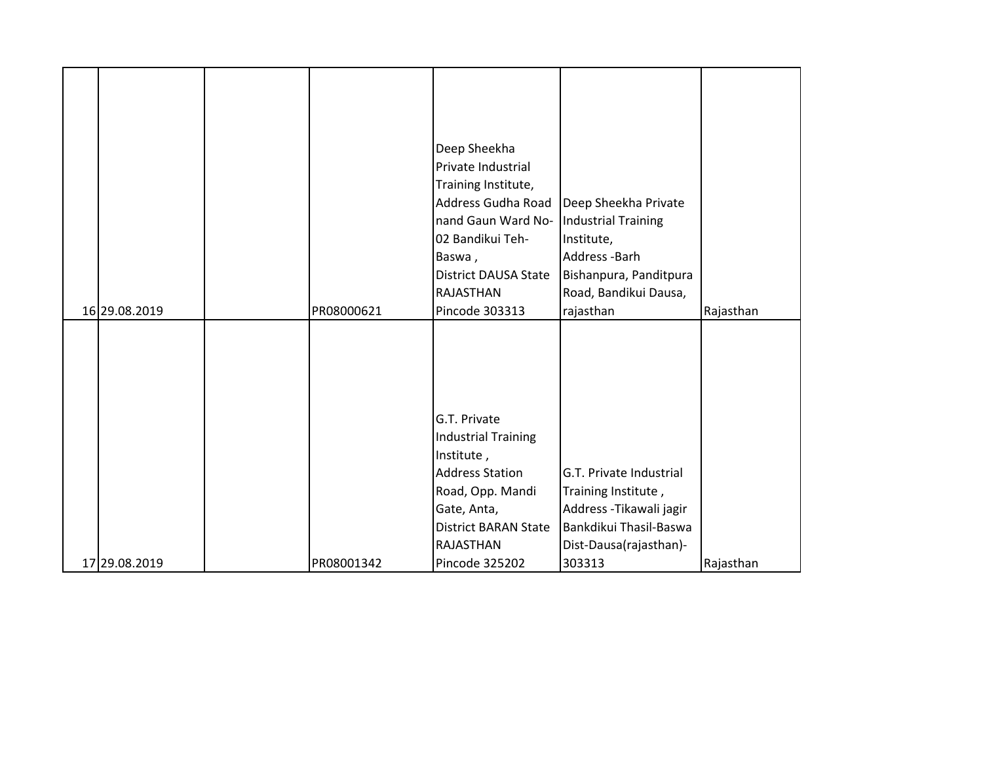|               |            | Deep Sheekha                |                            |           |
|---------------|------------|-----------------------------|----------------------------|-----------|
|               |            | Private Industrial          |                            |           |
|               |            |                             |                            |           |
|               |            | Training Institute,         |                            |           |
|               |            | Address Gudha Road          | Deep Sheekha Private       |           |
|               |            | nand Gaun Ward No-          | <b>Industrial Training</b> |           |
|               |            | 02 Bandikui Teh-            | Institute,                 |           |
|               |            | Baswa,                      | Address-Barh               |           |
|               |            | <b>District DAUSA State</b> | Bishanpura, Panditpura     |           |
|               |            | RAJASTHAN                   | Road, Bandikui Dausa,      |           |
| 16 29.08.2019 | PR08000621 | Pincode 303313              | rajasthan                  | Rajasthan |
|               |            |                             |                            |           |
|               |            |                             |                            |           |
|               |            |                             |                            |           |
|               |            |                             |                            |           |
|               |            |                             |                            |           |
|               |            | G.T. Private                |                            |           |
|               |            | <b>Industrial Training</b>  |                            |           |
|               |            | Institute,                  |                            |           |
|               |            | <b>Address Station</b>      | G.T. Private Industrial    |           |
|               |            | Road, Opp. Mandi            | Training Institute,        |           |
|               |            | Gate, Anta,                 | Address - Tikawali jagir   |           |
|               |            | <b>District BARAN State</b> | Bankdikui Thasil-Baswa     |           |
|               |            | RAJASTHAN                   | Dist-Dausa(rajasthan)-     |           |
| 17 29.08.2019 | PR08001342 | Pincode 325202              | 303313                     | Rajasthan |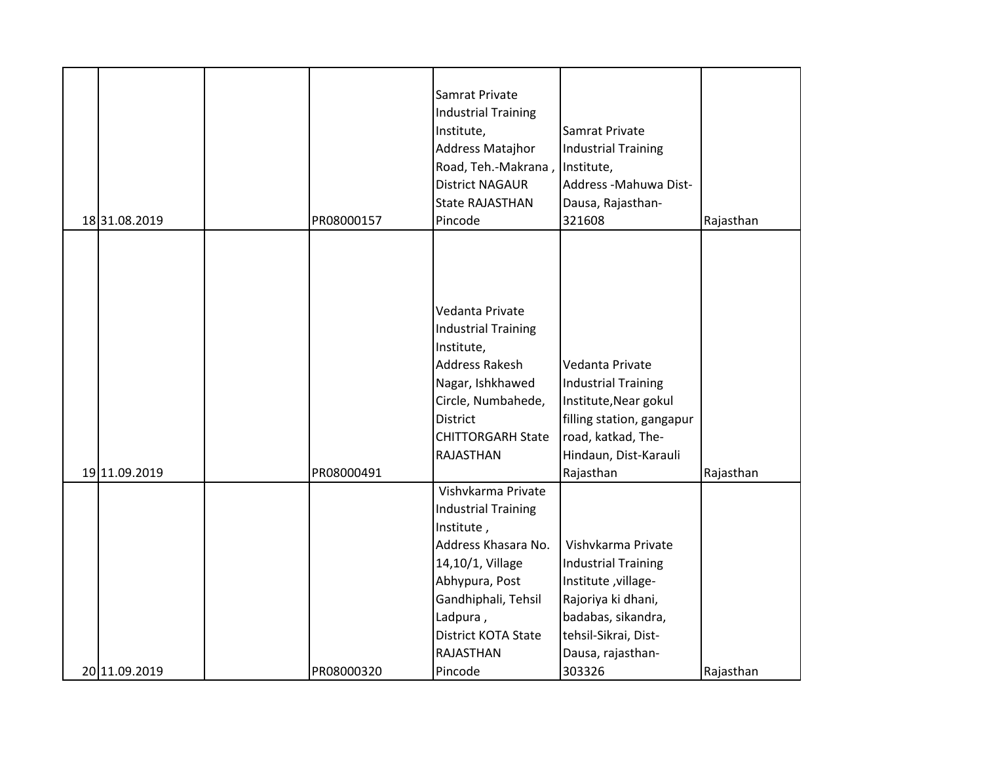|               |            | Samrat Private<br><b>Industrial Training</b><br>Institute,<br>Address Matajhor<br>Road, Teh.-Makrana,                                                                                                            | Samrat Private<br><b>Industrial Training</b><br>Institute,                                                                                                       |           |
|---------------|------------|------------------------------------------------------------------------------------------------------------------------------------------------------------------------------------------------------------------|------------------------------------------------------------------------------------------------------------------------------------------------------------------|-----------|
|               |            | <b>District NAGAUR</b>                                                                                                                                                                                           | Address - Mahuwa Dist-                                                                                                                                           |           |
|               |            | <b>State RAJASTHAN</b>                                                                                                                                                                                           | Dausa, Rajasthan-                                                                                                                                                |           |
| 18 31.08.2019 | PR08000157 | Pincode                                                                                                                                                                                                          | 321608                                                                                                                                                           | Rajasthan |
|               |            | Vedanta Private<br><b>Industrial Training</b><br>Institute,<br>Address Rakesh<br>Nagar, Ishkhawed<br>Circle, Numbahede,<br><b>District</b><br><b>CHITTORGARH State</b><br>RAJASTHAN                              | Vedanta Private<br><b>Industrial Training</b><br>Institute, Near gokul<br>filling station, gangapur<br>road, katkad, The-<br>Hindaun, Dist-Karauli               |           |
| 19 11.09.2019 | PR08000491 |                                                                                                                                                                                                                  | Rajasthan                                                                                                                                                        | Rajasthan |
|               |            | Vishvkarma Private<br><b>Industrial Training</b><br>Institute,<br>Address Khasara No.<br>14,10/1, Village<br>Abhypura, Post<br>Gandhiphali, Tehsil<br>Ladpura,<br><b>District KOTA State</b><br><b>RAJASTHAN</b> | Vishvkarma Private<br><b>Industrial Training</b><br>Institute, village-<br>Rajoriya ki dhani,<br>badabas, sikandra,<br>tehsil-Sikrai, Dist-<br>Dausa, rajasthan- |           |
| 20 11.09.2019 | PR08000320 | Pincode                                                                                                                                                                                                          | 303326                                                                                                                                                           | Rajasthan |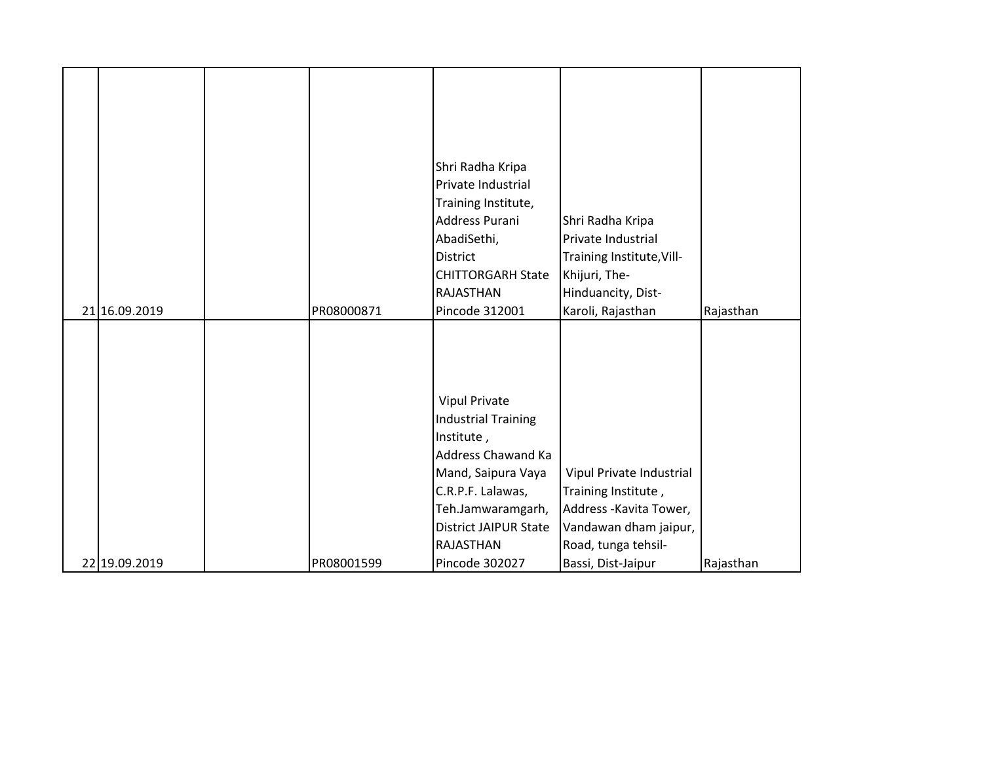|               |            | Shri Radha Kripa             |                           |           |
|---------------|------------|------------------------------|---------------------------|-----------|
|               |            | Private Industrial           |                           |           |
|               |            | Training Institute,          |                           |           |
|               |            | Address Purani               | Shri Radha Kripa          |           |
|               |            | AbadiSethi,                  | Private Industrial        |           |
|               |            | <b>District</b>              | Training Institute, Vill- |           |
|               |            | <b>CHITTORGARH State</b>     | Khijuri, The-             |           |
|               |            | RAJASTHAN                    | Hinduancity, Dist-        |           |
| 21 16.09.2019 | PR08000871 | Pincode 312001               | Karoli, Rajasthan         | Rajasthan |
|               |            |                              |                           |           |
|               |            |                              |                           |           |
|               |            |                              |                           |           |
|               |            |                              |                           |           |
|               |            |                              |                           |           |
|               |            | <b>Vipul Private</b>         |                           |           |
|               |            | <b>Industrial Training</b>   |                           |           |
|               |            | Institute,                   |                           |           |
|               |            | Address Chawand Ka           |                           |           |
|               |            | Mand, Saipura Vaya           | Vipul Private Industrial  |           |
|               |            | C.R.P.F. Lalawas,            | Training Institute,       |           |
|               |            | Teh.Jamwaramgarh,            | Address - Kavita Tower,   |           |
|               |            | <b>District JAIPUR State</b> | Vandawan dham jaipur,     |           |
|               |            | RAJASTHAN                    | Road, tunga tehsil-       |           |
| 22 19.09.2019 | PR08001599 | Pincode 302027               | Bassi, Dist-Jaipur        | Rajasthan |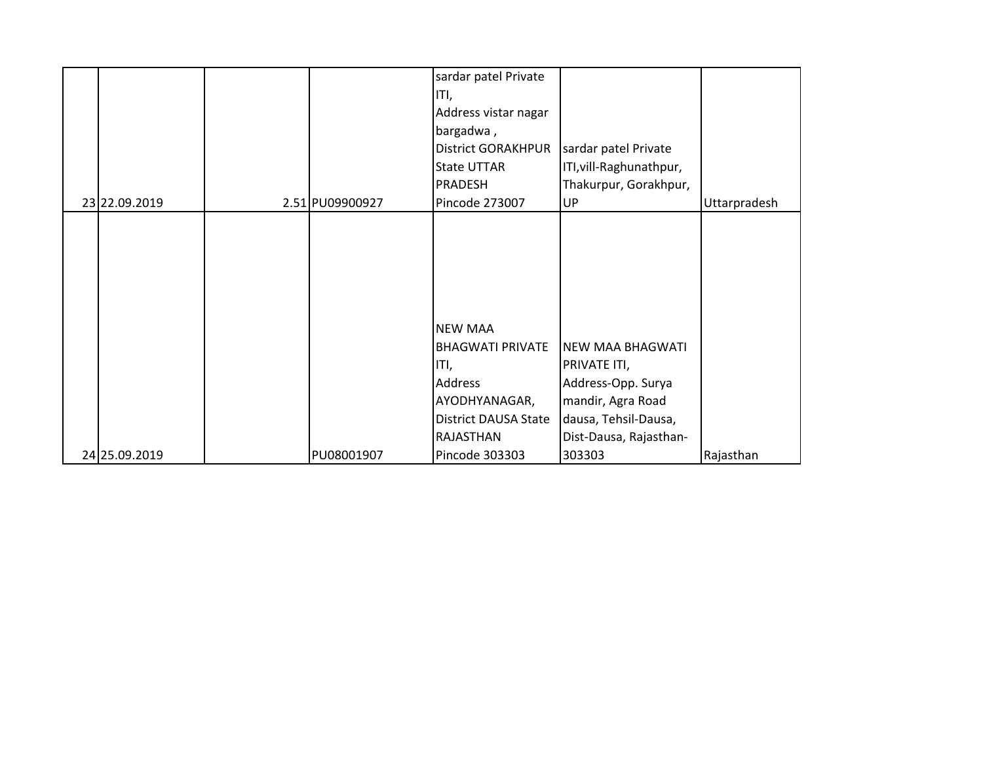|               |                 | sardar patel Private        |                         |              |
|---------------|-----------------|-----------------------------|-------------------------|--------------|
|               |                 | ITI,                        |                         |              |
|               |                 | Address vistar nagar        |                         |              |
|               |                 | bargadwa,                   |                         |              |
|               |                 | <b>District GORAKHPUR</b>   | sardar patel Private    |              |
|               |                 | <b>State UTTAR</b>          | ITI, vill-Raghunathpur, |              |
|               |                 | <b>PRADESH</b>              | Thakurpur, Gorakhpur,   |              |
| 23 22.09.2019 | 2.51 PU09900927 | Pincode 273007              | UP                      | Uttarpradesh |
|               |                 |                             |                         |              |
|               |                 |                             |                         |              |
|               |                 |                             |                         |              |
|               |                 |                             |                         |              |
|               |                 |                             |                         |              |
|               |                 |                             |                         |              |
|               |                 | <b>NEW MAA</b>              |                         |              |
|               |                 | <b>BHAGWATI PRIVATE</b>     | <b>NEW MAA BHAGWATI</b> |              |
|               |                 | ITI,                        | PRIVATE ITI,            |              |
|               |                 | <b>Address</b>              | Address-Opp. Surya      |              |
|               |                 | AYODHYANAGAR,               | mandir, Agra Road       |              |
|               |                 | <b>District DAUSA State</b> | dausa, Tehsil-Dausa,    |              |
|               |                 | <b>RAJASTHAN</b>            | Dist-Dausa, Rajasthan-  |              |
| 24 25.09.2019 | PU08001907      | Pincode 303303              | 303303                  | Rajasthan    |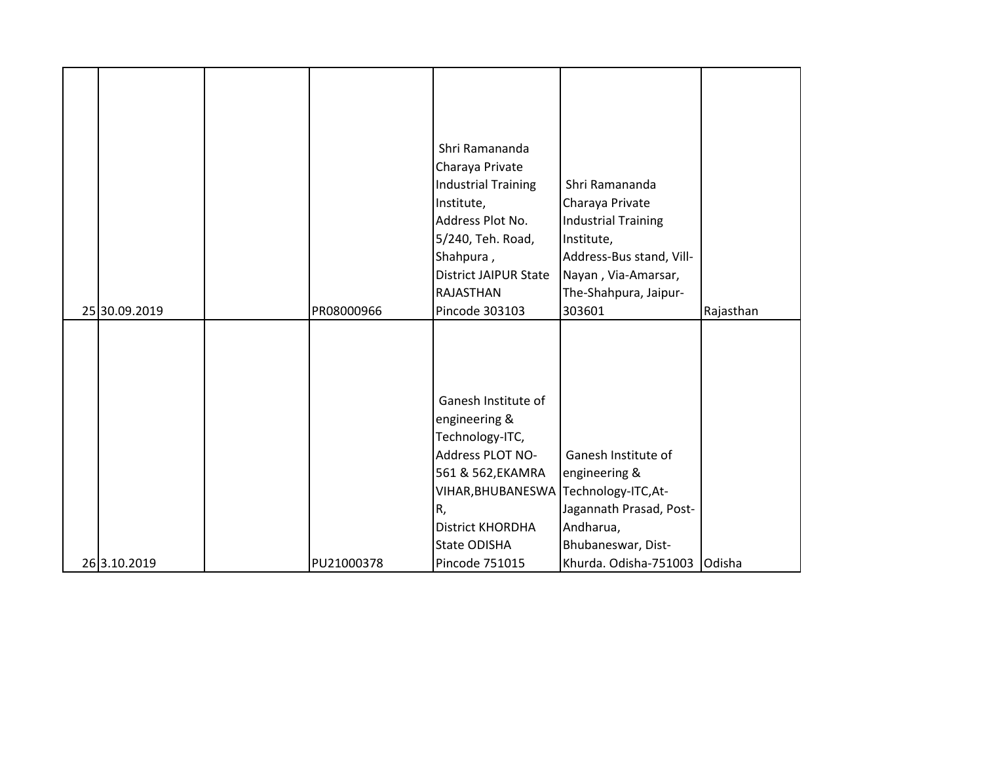|               |            | Shri Ramananda                        |                                             |               |
|---------------|------------|---------------------------------------|---------------------------------------------|---------------|
|               |            | Charaya Private                       |                                             |               |
|               |            | <b>Industrial Training</b>            | Shri Ramananda                              |               |
|               |            | Institute,                            | Charaya Private                             |               |
|               |            | Address Plot No.                      | <b>Industrial Training</b>                  |               |
|               |            | 5/240, Teh. Road,                     | Institute,                                  |               |
|               |            | Shahpura,                             | Address-Bus stand, Vill-                    |               |
|               |            | <b>District JAIPUR State</b>          | Nayan, Via-Amarsar,                         |               |
|               |            | RAJASTHAN                             | The-Shahpura, Jaipur-                       |               |
| 25 30.09.2019 | PR08000966 | Pincode 303103                        | 303601                                      | Rajasthan     |
|               |            |                                       |                                             |               |
|               |            |                                       |                                             |               |
|               |            |                                       |                                             |               |
|               |            |                                       |                                             |               |
|               |            | Ganesh Institute of                   |                                             |               |
|               |            | engineering &                         |                                             |               |
|               |            | Technology-ITC,                       |                                             |               |
|               |            |                                       | Ganesh Institute of                         |               |
|               |            | Address PLOT NO-                      |                                             |               |
|               |            | 561 & 562, EKAMRA                     | engineering &                               |               |
|               |            | VIHAR, BHUBANESWA Technology-ITC, At- |                                             |               |
|               |            | R,                                    | Jagannath Prasad, Post-                     |               |
|               |            | District KHORDHA                      | Andharua,                                   |               |
|               |            |                                       |                                             |               |
| 26 3.10.2019  | PU21000378 | <b>State ODISHA</b><br>Pincode 751015 | Bhubaneswar, Dist-<br>Khurda. Odisha-751003 | <b>Odisha</b> |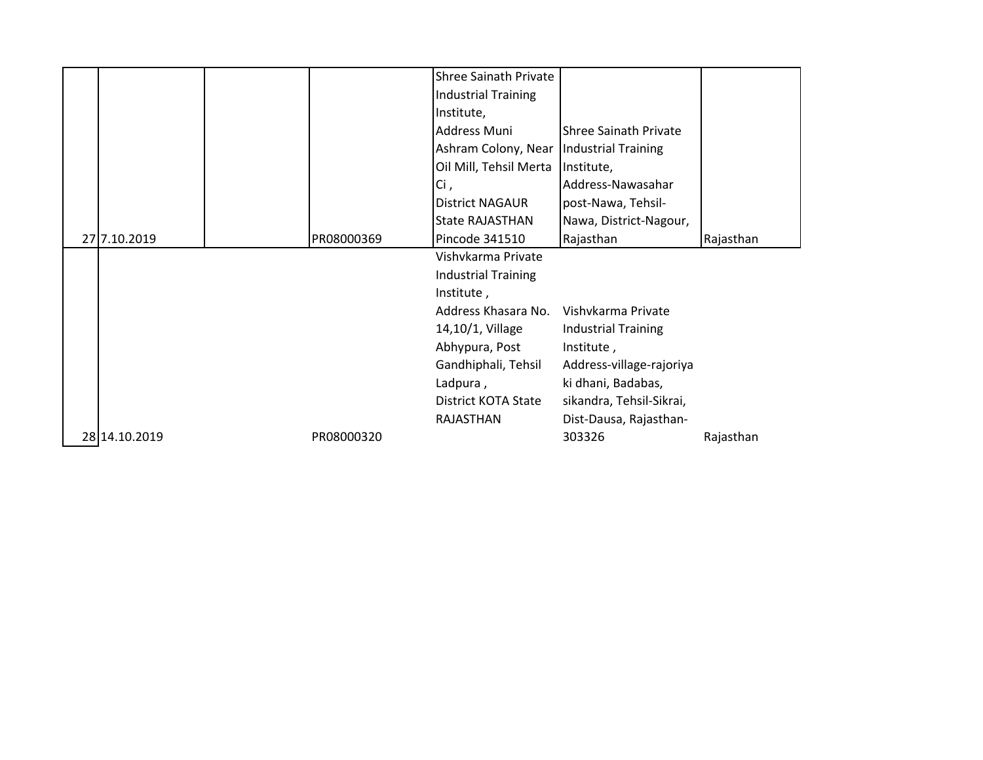|               |            | <b>Shree Sainath Private</b> |                              |           |
|---------------|------------|------------------------------|------------------------------|-----------|
|               |            | <b>Industrial Training</b>   |                              |           |
|               |            | Institute,                   |                              |           |
|               |            | Address Muni                 | <b>Shree Sainath Private</b> |           |
|               |            | Ashram Colony, Near          | Industrial Training          |           |
|               |            | Oil Mill, Tehsil Merta       | Institute,                   |           |
|               |            | Ci,                          | Address-Nawasahar            |           |
|               |            | <b>District NAGAUR</b>       | post-Nawa, Tehsil-           |           |
|               |            | <b>State RAJASTHAN</b>       | Nawa, District-Nagour,       |           |
| 27 7.10.2019  | PR08000369 | Pincode 341510               | Rajasthan                    | Rajasthan |
|               |            | Vishvkarma Private           |                              |           |
|               |            | <b>Industrial Training</b>   |                              |           |
|               |            | Institute,                   |                              |           |
|               |            | Address Khasara No.          | Vishvkarma Private           |           |
|               |            | 14,10/1, Village             | <b>Industrial Training</b>   |           |
|               |            | Abhypura, Post               | Institute,                   |           |
|               |            | Gandhiphali, Tehsil          | Address-village-rajoriya     |           |
|               |            | Ladpura,                     | ki dhani, Badabas,           |           |
|               |            | <b>District KOTA State</b>   | sikandra, Tehsil-Sikrai,     |           |
|               |            | RAJASTHAN                    | Dist-Dausa, Rajasthan-       |           |
| 28 14.10.2019 | PR08000320 |                              | 303326                       | Rajasthan |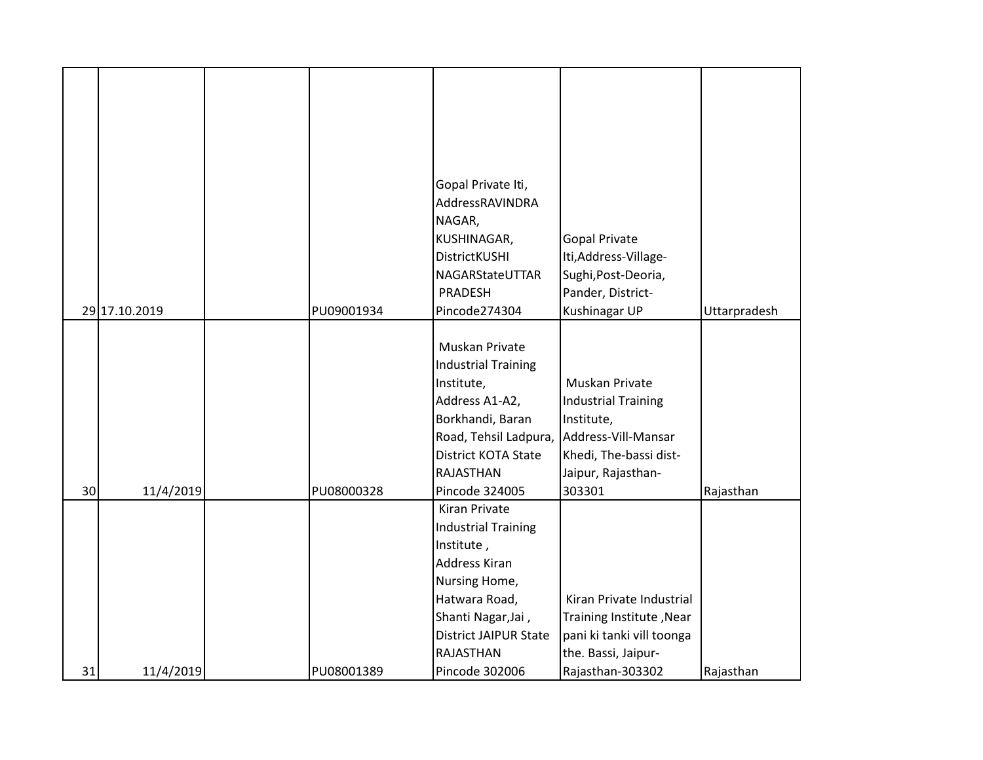|    |               |            | Gopal Private Iti,                       |                            |              |
|----|---------------|------------|------------------------------------------|----------------------------|--------------|
|    |               |            | AddressRAVINDRA                          |                            |              |
|    |               |            | NAGAR,                                   |                            |              |
|    |               |            | KUSHINAGAR,                              | <b>Gopal Private</b>       |              |
|    |               |            | <b>DistrictKUSHI</b>                     | Iti, Address-Village-      |              |
|    |               |            | NAGARStateUTTAR                          | Sughi, Post-Deoria,        |              |
|    |               |            | PRADESH                                  | Pander, District-          |              |
|    | 29 17.10.2019 | PU09001934 | Pincode274304                            | Kushinagar UP              | Uttarpradesh |
|    |               |            |                                          |                            |              |
|    |               |            | Muskan Private                           |                            |              |
|    |               |            | <b>Industrial Training</b>               |                            |              |
|    |               |            | Institute,                               | Muskan Private             |              |
|    |               |            | Address A1-A2,                           | <b>Industrial Training</b> |              |
|    |               |            | Borkhandi, Baran                         | Institute,                 |              |
|    |               |            | Road, Tehsil Ladpura,                    | Address-Vill-Mansar        |              |
|    |               |            | District KOTA State                      | Khedi, The-bassi dist-     |              |
|    |               |            | <b>RAJASTHAN</b>                         | Jaipur, Rajasthan-         |              |
| 30 | 11/4/2019     | PU08000328 | Pincode 324005                           | 303301                     | Rajasthan    |
|    |               |            | Kiran Private                            |                            |              |
|    |               |            | <b>Industrial Training</b><br>Institute, |                            |              |
|    |               |            | <b>Address Kiran</b>                     |                            |              |
|    |               |            | Nursing Home,                            |                            |              |
|    |               |            | Hatwara Road,                            | Kiran Private Industrial   |              |
|    |               |            | Shanti Nagar, Jai,                       | Training Institute, Near   |              |
|    |               |            | <b>District JAIPUR State</b>             | pani ki tanki vill toonga  |              |
|    |               |            | <b>RAJASTHAN</b>                         | the. Bassi, Jaipur-        |              |
| 31 | 11/4/2019     | PU08001389 | Pincode 302006                           | Rajasthan-303302           | Rajasthan    |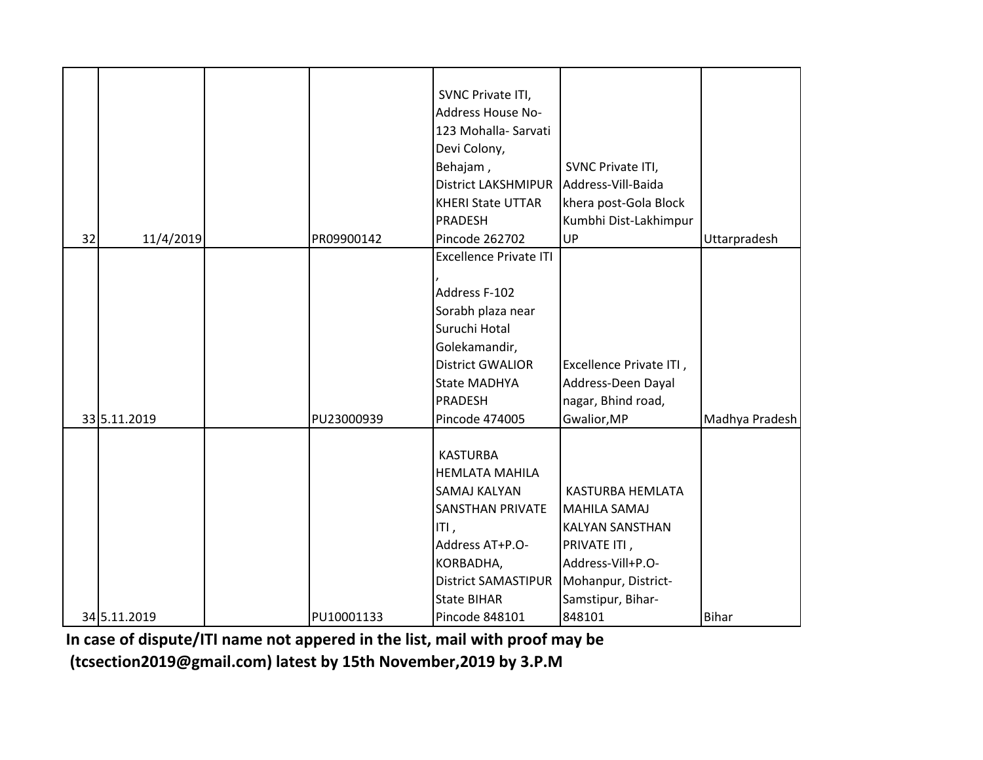|    |              |            | SVNC Private ITI,                        |                         |                |
|----|--------------|------------|------------------------------------------|-------------------------|----------------|
|    |              |            | Address House No-                        |                         |                |
|    |              |            | 123 Mohalla-Sarvati                      |                         |                |
|    |              |            | Devi Colony,                             |                         |                |
|    |              |            | Behajam,                                 | SVNC Private ITI,       |                |
|    |              |            | District LAKSHMIPUR   Address-Vill-Baida |                         |                |
|    |              |            | <b>KHERI State UTTAR</b>                 | khera post-Gola Block   |                |
|    |              |            | <b>PRADESH</b>                           | Kumbhi Dist-Lakhimpur   |                |
| 32 | 11/4/2019    | PR09900142 | Pincode 262702                           | UP                      | Uttarpradesh   |
|    |              |            | <b>Excellence Private ITI</b>            |                         |                |
|    |              |            |                                          |                         |                |
|    |              |            | Address F-102                            |                         |                |
|    |              |            | Sorabh plaza near                        |                         |                |
|    |              |            | Suruchi Hotal                            |                         |                |
|    |              |            | Golekamandir,                            |                         |                |
|    |              |            | <b>District GWALIOR</b>                  | Excellence Private ITI, |                |
|    |              |            | <b>State MADHYA</b>                      | Address-Deen Dayal      |                |
|    |              |            | <b>PRADESH</b>                           | nagar, Bhind road,      |                |
|    | 33 5.11.2019 | PU23000939 | Pincode 474005                           | Gwalior, MP             | Madhya Pradesh |
|    |              |            |                                          |                         |                |
|    |              |            | <b>KASTURBA</b>                          |                         |                |
|    |              |            | <b>HEMLATA MAHILA</b>                    |                         |                |
|    |              |            | <b>SAMAJ KALYAN</b>                      | <b>KASTURBA HEMLATA</b> |                |
|    |              |            | <b>SANSTHAN PRIVATE</b>                  | MAHILA SAMAJ            |                |
|    |              |            | ITI,                                     | <b>KALYAN SANSTHAN</b>  |                |
|    |              |            | Address AT+P.O-                          | PRIVATE ITI,            |                |
|    |              |            | KORBADHA,                                | Address-Vill+P.O-       |                |
|    |              |            | <b>District SAMASTIPUR</b>               | Mohanpur, District-     |                |
|    |              |            | <b>State BIHAR</b>                       | Samstipur, Bihar-       |                |
|    | 34 5.11.2019 | PU10001133 | <b>Pincode 848101</b>                    | 848101                  | <b>Bihar</b>   |

In case of dispute/ITI name not appered in the list, mail with proof may be  **(tcsection2019@gmail.com) latest by 15th November,2019 by 3.P.M**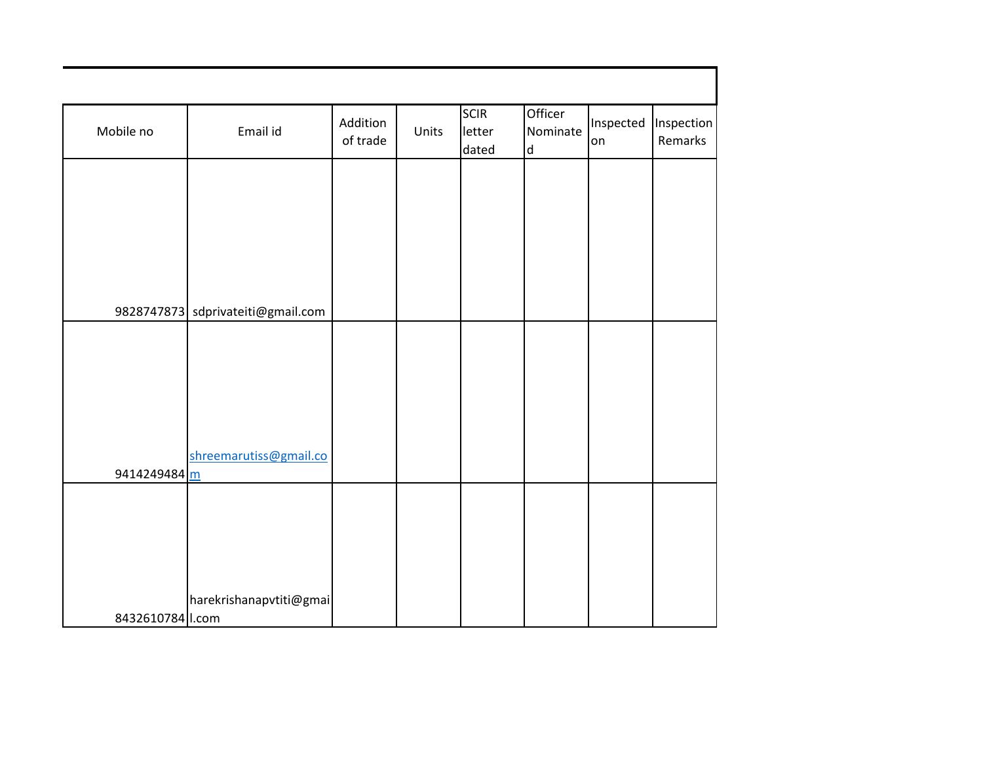| Mobile no          | Email id                          | Addition<br>of trade | Units | <b>SCIR</b><br>letter<br>dated | Officer<br>Nominate<br>$\mathsf{d}$ | Inspected<br>lon | Inspection<br>Remarks |
|--------------------|-----------------------------------|----------------------|-------|--------------------------------|-------------------------------------|------------------|-----------------------|
|                    |                                   |                      |       |                                |                                     |                  |                       |
|                    |                                   |                      |       |                                |                                     |                  |                       |
|                    |                                   |                      |       |                                |                                     |                  |                       |
|                    | 9828747873 sdprivateiti@gmail.com |                      |       |                                |                                     |                  |                       |
|                    |                                   |                      |       |                                |                                     |                  |                       |
|                    |                                   |                      |       |                                |                                     |                  |                       |
|                    |                                   |                      |       |                                |                                     |                  |                       |
|                    | shreemarutiss@gmail.co            |                      |       |                                |                                     |                  |                       |
| 9414249484 m       |                                   |                      |       |                                |                                     |                  |                       |
|                    |                                   |                      |       |                                |                                     |                  |                       |
|                    |                                   |                      |       |                                |                                     |                  |                       |
| 8432610784   I.com | harekrishanapvtiti@gmai           |                      |       |                                |                                     |                  |                       |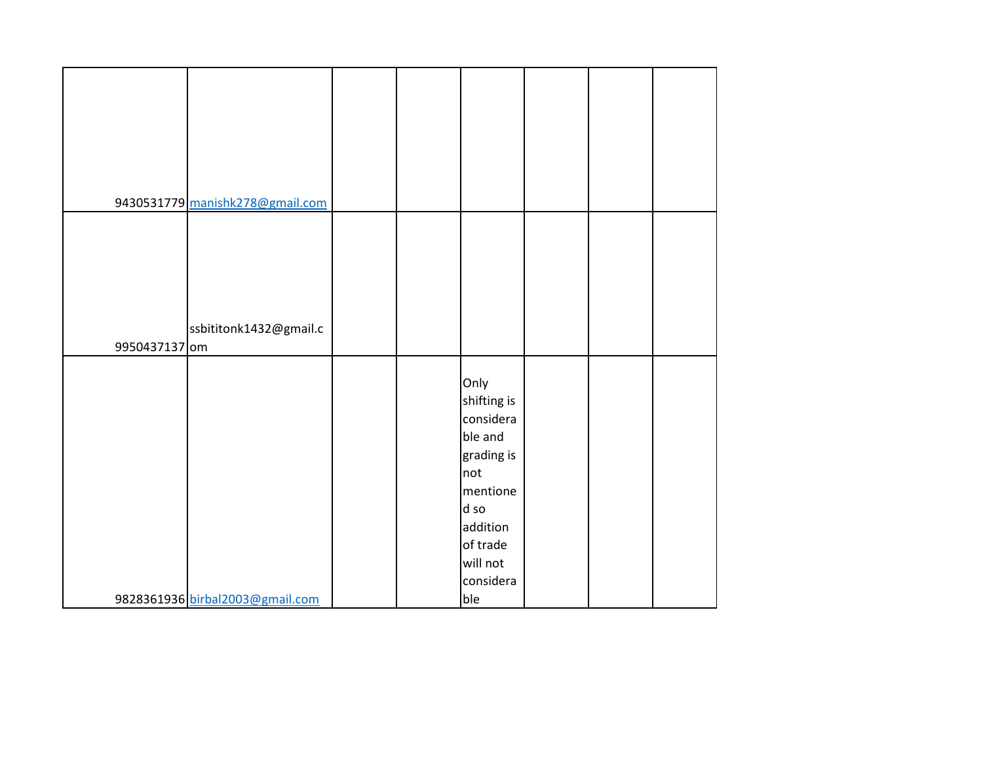| 9430531779 manishk278@gmail.com |  |             |  |  |
|---------------------------------|--|-------------|--|--|
|                                 |  |             |  |  |
|                                 |  |             |  |  |
|                                 |  |             |  |  |
|                                 |  |             |  |  |
|                                 |  |             |  |  |
|                                 |  |             |  |  |
|                                 |  |             |  |  |
| ssbititonk1432@gmail.c          |  |             |  |  |
| 9950437137 om                   |  |             |  |  |
|                                 |  |             |  |  |
|                                 |  | Only        |  |  |
|                                 |  |             |  |  |
|                                 |  | shifting is |  |  |
|                                 |  | considera   |  |  |
|                                 |  | ble and     |  |  |
|                                 |  | grading is  |  |  |
|                                 |  | not         |  |  |
|                                 |  | mentione    |  |  |
|                                 |  | d so        |  |  |
|                                 |  | addition    |  |  |
|                                 |  |             |  |  |
|                                 |  | of trade    |  |  |
|                                 |  | will not    |  |  |
|                                 |  | considera   |  |  |
| 9828361936 birbal2003@gmail.com |  | ble         |  |  |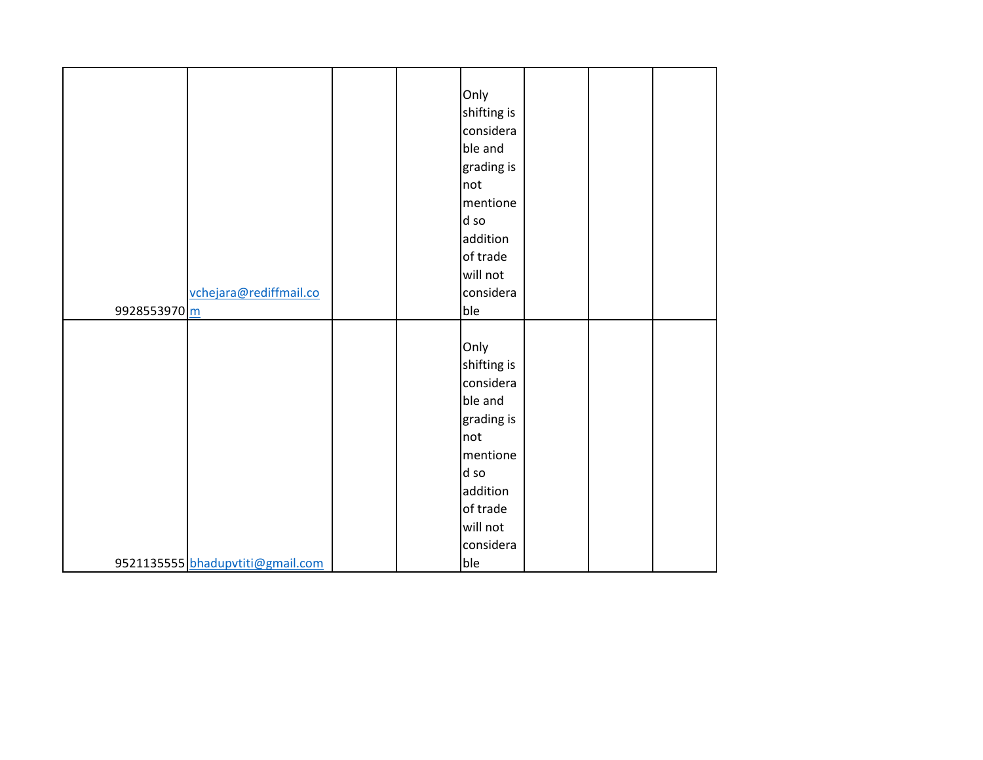|                                  |  | Only        |  |  |
|----------------------------------|--|-------------|--|--|
|                                  |  | shifting is |  |  |
|                                  |  | considera   |  |  |
|                                  |  | ble and     |  |  |
|                                  |  | grading is  |  |  |
|                                  |  | not         |  |  |
|                                  |  | mentione    |  |  |
|                                  |  | d so        |  |  |
|                                  |  | addition    |  |  |
|                                  |  | of trade    |  |  |
|                                  |  | will not    |  |  |
|                                  |  | considera   |  |  |
| vchejara@rediffmail.co           |  |             |  |  |
| 9928553970 m                     |  | ble         |  |  |
|                                  |  |             |  |  |
|                                  |  | Only        |  |  |
|                                  |  | shifting is |  |  |
|                                  |  | considera   |  |  |
|                                  |  | ble and     |  |  |
|                                  |  | grading is  |  |  |
|                                  |  | not         |  |  |
|                                  |  | mentione    |  |  |
|                                  |  | d so        |  |  |
|                                  |  | addition    |  |  |
|                                  |  | of trade    |  |  |
|                                  |  | will not    |  |  |
|                                  |  | considera   |  |  |
| 9521135555 bhadupvtiti@gmail.com |  | ble         |  |  |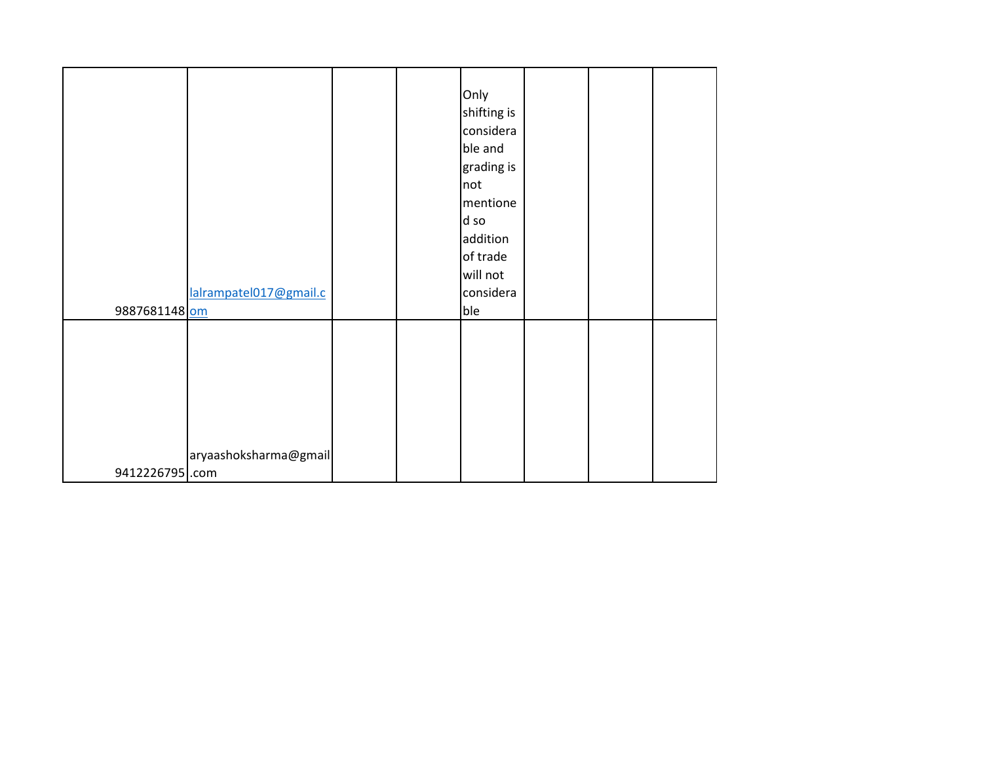| lalrampatel017@gmail.c<br>9887681148 om | Only<br>shifting is<br>considera<br>ble and<br>grading is<br>not<br>mentione<br>d so<br>addition<br>of trade<br>will not<br>considera<br>ble |  |  |
|-----------------------------------------|----------------------------------------------------------------------------------------------------------------------------------------------|--|--|
| aryaashoksharma@gmail<br>9412226795.com |                                                                                                                                              |  |  |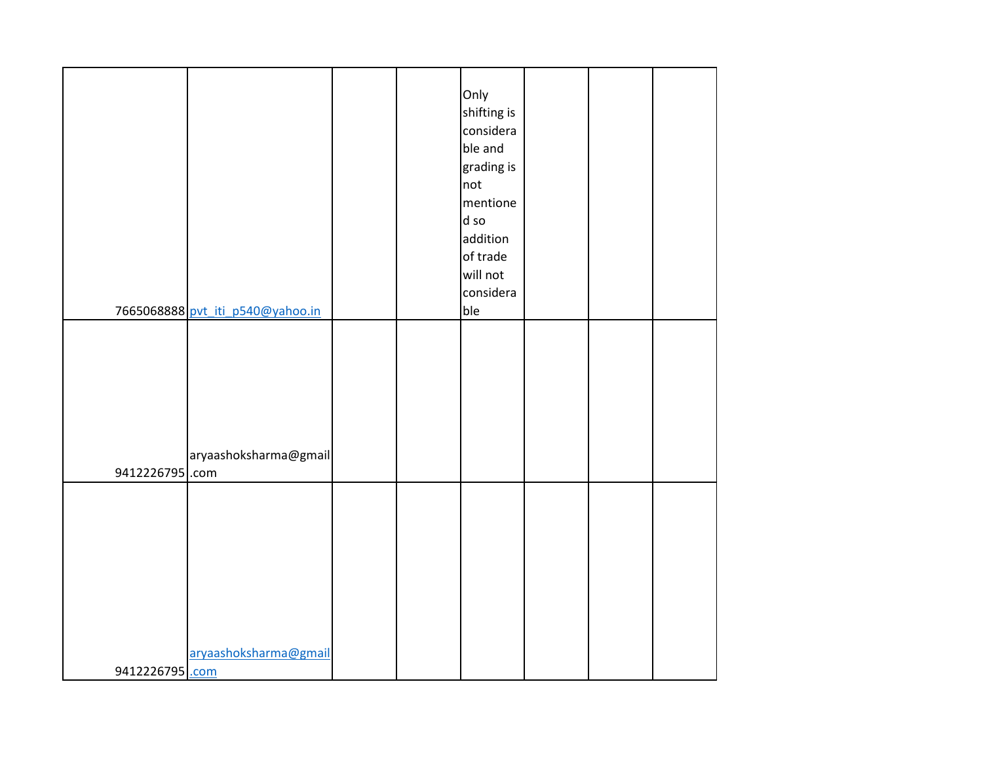|                 |                                  |  | Only<br>shifting is<br>considera |  |  |
|-----------------|----------------------------------|--|----------------------------------|--|--|
|                 |                                  |  | ble and<br>grading is            |  |  |
|                 |                                  |  | not<br>mentione                  |  |  |
|                 |                                  |  | d so                             |  |  |
|                 |                                  |  | addition<br>of trade             |  |  |
|                 |                                  |  | will not                         |  |  |
|                 | 7665068888 pvt_iti_p540@yahoo.in |  | considera<br>ble                 |  |  |
|                 |                                  |  |                                  |  |  |
|                 |                                  |  |                                  |  |  |
|                 |                                  |  |                                  |  |  |
|                 |                                  |  |                                  |  |  |
|                 | aryaashoksharma@gmail            |  |                                  |  |  |
| 9412226795.com  |                                  |  |                                  |  |  |
|                 |                                  |  |                                  |  |  |
|                 |                                  |  |                                  |  |  |
|                 |                                  |  |                                  |  |  |
|                 |                                  |  |                                  |  |  |
|                 |                                  |  |                                  |  |  |
|                 | aryaashoksharma@gmail            |  |                                  |  |  |
| 9412226795 .com |                                  |  |                                  |  |  |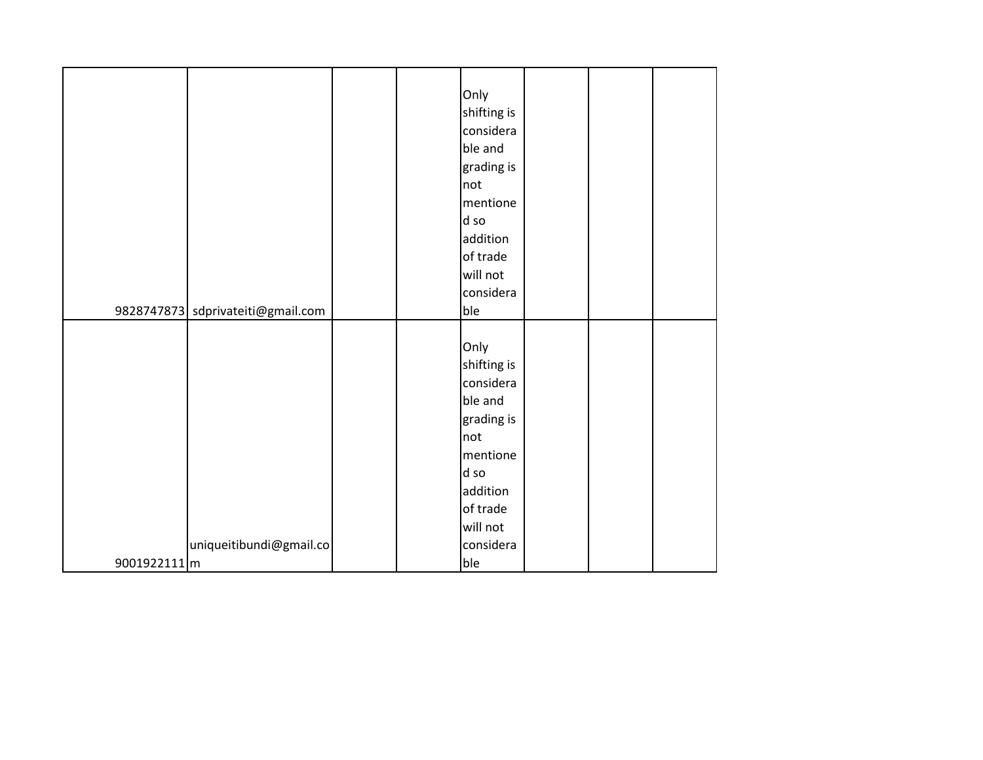|              |                                   |  | Only        |  |  |
|--------------|-----------------------------------|--|-------------|--|--|
|              |                                   |  | shifting is |  |  |
|              |                                   |  | considera   |  |  |
|              |                                   |  | ble and     |  |  |
|              |                                   |  | grading is  |  |  |
|              |                                   |  | not         |  |  |
|              |                                   |  | mentione    |  |  |
|              |                                   |  | d so        |  |  |
|              |                                   |  | addition    |  |  |
|              |                                   |  | of trade    |  |  |
|              |                                   |  | will not    |  |  |
|              |                                   |  | considera   |  |  |
|              | 9828747873 sdprivateiti@gmail.com |  | ble         |  |  |
|              |                                   |  |             |  |  |
|              |                                   |  | Only        |  |  |
|              |                                   |  | shifting is |  |  |
|              |                                   |  | considera   |  |  |
|              |                                   |  | ble and     |  |  |
|              |                                   |  | grading is  |  |  |
|              |                                   |  | not         |  |  |
|              |                                   |  | mentione    |  |  |
|              |                                   |  | d so        |  |  |
|              |                                   |  | addition    |  |  |
|              |                                   |  | of trade    |  |  |
|              |                                   |  | will not    |  |  |
|              | uniqueitibundi@gmail.co           |  | considera   |  |  |
| 9001922111 m |                                   |  | ble         |  |  |
|              |                                   |  |             |  |  |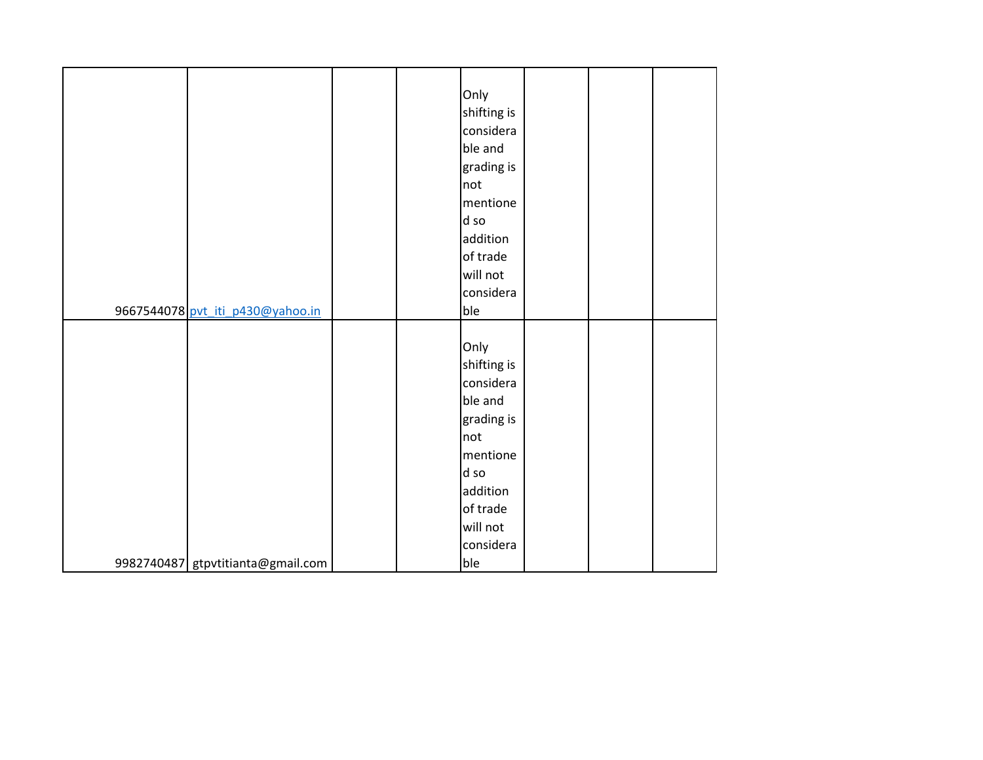|                                   |  | Only        |  |  |
|-----------------------------------|--|-------------|--|--|
|                                   |  | shifting is |  |  |
|                                   |  | considera   |  |  |
|                                   |  | ble and     |  |  |
|                                   |  | grading is  |  |  |
|                                   |  | not         |  |  |
|                                   |  | mentione    |  |  |
|                                   |  | d so        |  |  |
|                                   |  | addition    |  |  |
|                                   |  | of trade    |  |  |
|                                   |  | will not    |  |  |
|                                   |  | considera   |  |  |
| 9667544078 pvt_iti_p430@yahoo.in  |  | ble         |  |  |
|                                   |  |             |  |  |
|                                   |  | Only        |  |  |
|                                   |  | shifting is |  |  |
|                                   |  | considera   |  |  |
|                                   |  | ble and     |  |  |
|                                   |  | grading is  |  |  |
|                                   |  | not         |  |  |
|                                   |  | mentione    |  |  |
|                                   |  | d so        |  |  |
|                                   |  | addition    |  |  |
|                                   |  | of trade    |  |  |
|                                   |  | will not    |  |  |
|                                   |  | considera   |  |  |
| 9982740487 gtpvtitianta@gmail.com |  | ble         |  |  |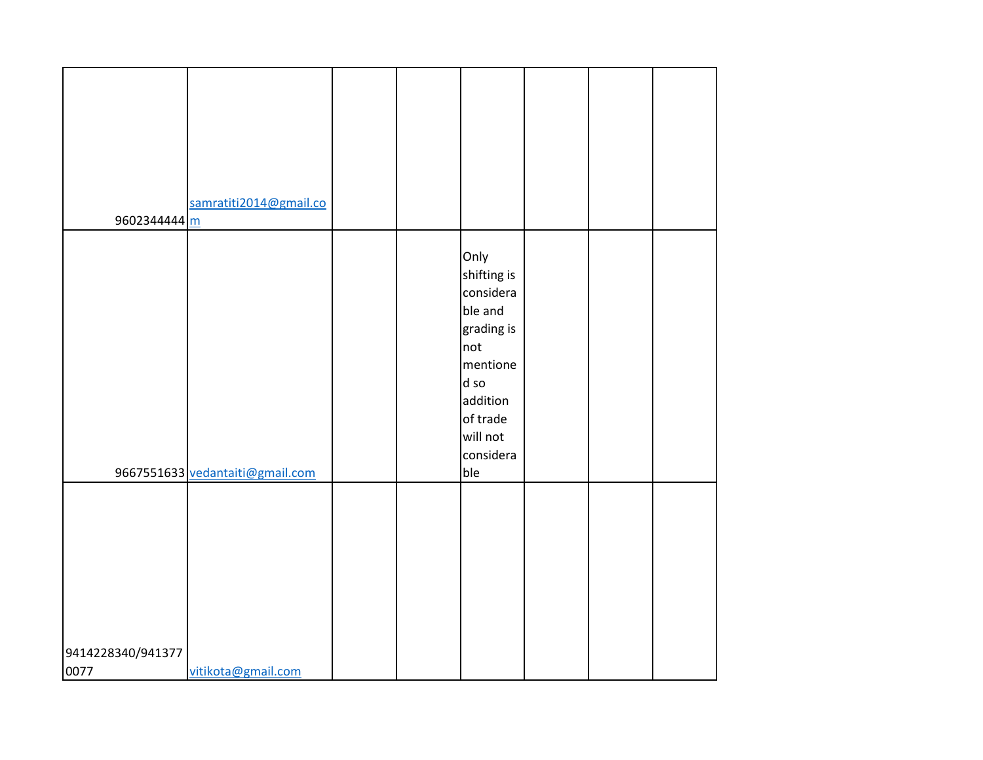|                   | samratiti2014@gmail.co          |  |             |  |  |
|-------------------|---------------------------------|--|-------------|--|--|
| 9602344444        |                                 |  |             |  |  |
|                   |                                 |  |             |  |  |
|                   |                                 |  |             |  |  |
|                   |                                 |  | Only        |  |  |
|                   |                                 |  | shifting is |  |  |
|                   |                                 |  | considera   |  |  |
|                   |                                 |  | ble and     |  |  |
|                   |                                 |  |             |  |  |
|                   |                                 |  | grading is  |  |  |
|                   |                                 |  | not         |  |  |
|                   |                                 |  | mentione    |  |  |
|                   |                                 |  | d so        |  |  |
|                   |                                 |  | addition    |  |  |
|                   |                                 |  | of trade    |  |  |
|                   |                                 |  | will not    |  |  |
|                   |                                 |  |             |  |  |
|                   |                                 |  | considera   |  |  |
|                   | 9667551633 vedantaiti@gmail.com |  | ble         |  |  |
|                   |                                 |  |             |  |  |
|                   |                                 |  |             |  |  |
|                   |                                 |  |             |  |  |
|                   |                                 |  |             |  |  |
|                   |                                 |  |             |  |  |
|                   |                                 |  |             |  |  |
|                   |                                 |  |             |  |  |
|                   |                                 |  |             |  |  |
|                   |                                 |  |             |  |  |
|                   |                                 |  |             |  |  |
|                   |                                 |  |             |  |  |
| 9414228340/941377 |                                 |  |             |  |  |
| 0077              | vitikota@gmail.com              |  |             |  |  |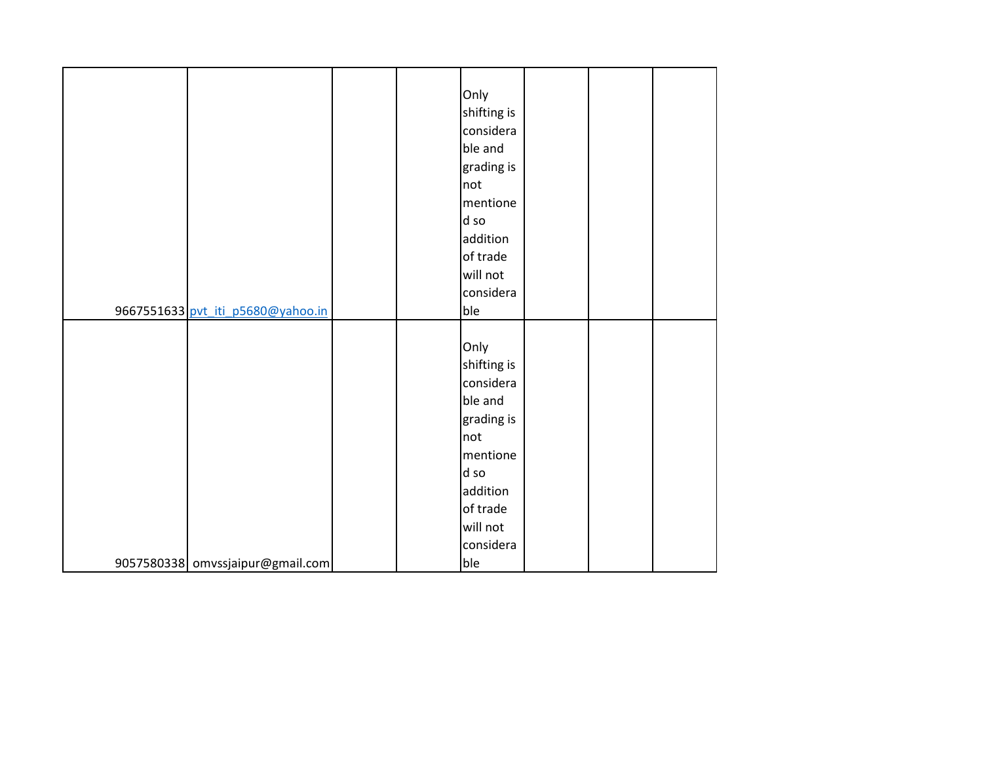|                                   |  | Only        |  |  |
|-----------------------------------|--|-------------|--|--|
|                                   |  | shifting is |  |  |
|                                   |  | considera   |  |  |
|                                   |  | ble and     |  |  |
|                                   |  | grading is  |  |  |
|                                   |  | not         |  |  |
|                                   |  | mentione    |  |  |
|                                   |  | d so        |  |  |
|                                   |  | addition    |  |  |
|                                   |  | of trade    |  |  |
|                                   |  | will not    |  |  |
|                                   |  | considera   |  |  |
| 9667551633 pvt_iti_p5680@yahoo.in |  | ble         |  |  |
|                                   |  |             |  |  |
|                                   |  | Only        |  |  |
|                                   |  | shifting is |  |  |
|                                   |  | considera   |  |  |
|                                   |  | ble and     |  |  |
|                                   |  | grading is  |  |  |
|                                   |  | not         |  |  |
|                                   |  | mentione    |  |  |
|                                   |  | d so        |  |  |
|                                   |  | addition    |  |  |
|                                   |  | of trade    |  |  |
|                                   |  | will not    |  |  |
|                                   |  | considera   |  |  |
| 9057580338 omvssjaipur@gmail.com  |  | ble         |  |  |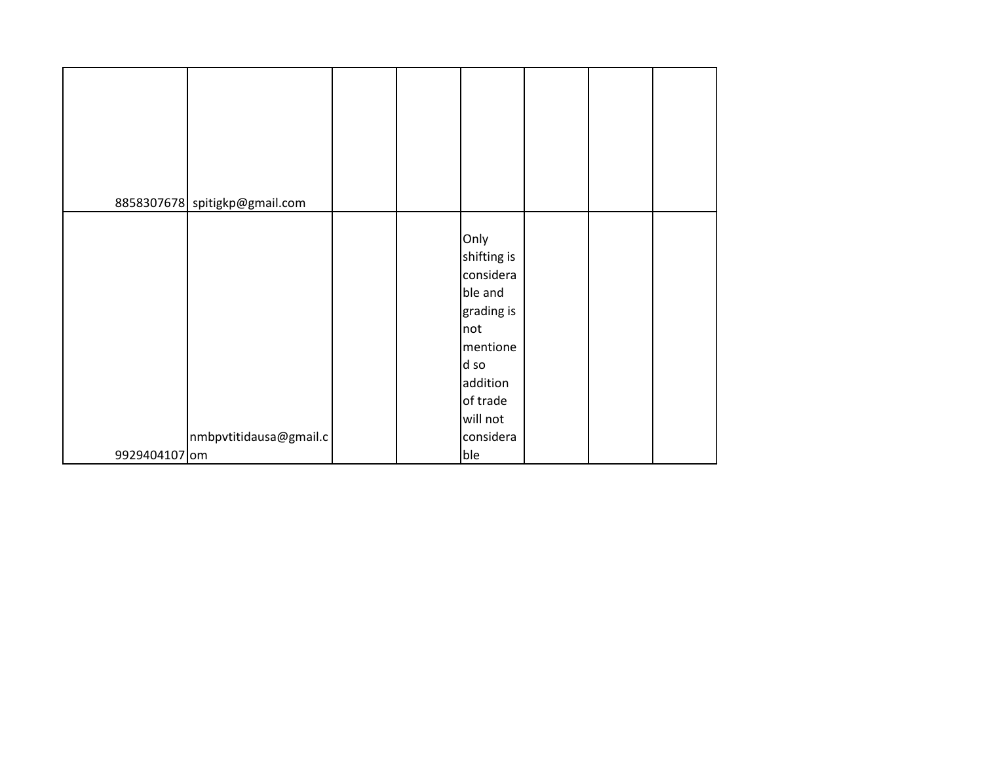|               | 8858307678 spitigkp@gmail.com |  |                                                                                                                                       |  |  |
|---------------|-------------------------------|--|---------------------------------------------------------------------------------------------------------------------------------------|--|--|
|               | nmbpvtitidausa@gmail.c        |  | Only<br>shifting is<br>considera<br>ble and<br>grading is<br>not<br>mentione<br>d so<br>addition<br>of trade<br>will not<br>considera |  |  |
| 9929404107 om |                               |  | ble                                                                                                                                   |  |  |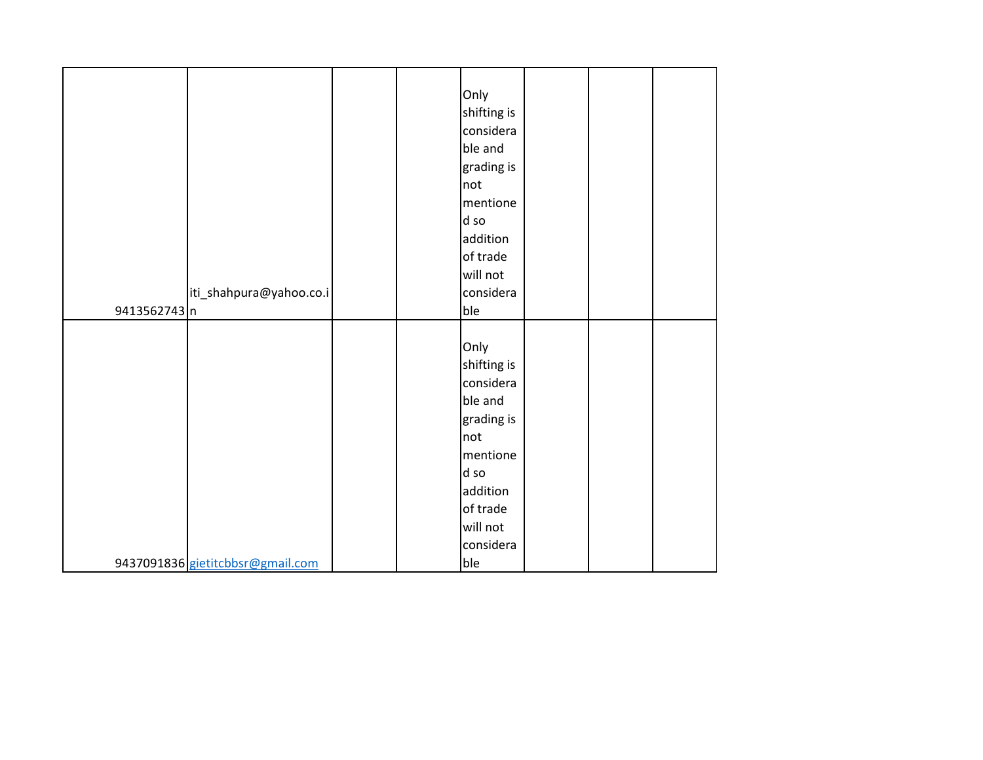|              |                                  |  | Only        |  |  |
|--------------|----------------------------------|--|-------------|--|--|
|              |                                  |  | shifting is |  |  |
|              |                                  |  | considera   |  |  |
|              |                                  |  | ble and     |  |  |
|              |                                  |  | grading is  |  |  |
|              |                                  |  | not         |  |  |
|              |                                  |  | mentione    |  |  |
|              |                                  |  | d so        |  |  |
|              |                                  |  | addition    |  |  |
|              |                                  |  | of trade    |  |  |
|              |                                  |  |             |  |  |
|              |                                  |  | will not    |  |  |
|              | iti_shahpura@yahoo.co.i          |  | considera   |  |  |
| 9413562743 n |                                  |  | ble         |  |  |
|              |                                  |  |             |  |  |
|              |                                  |  | Only        |  |  |
|              |                                  |  | shifting is |  |  |
|              |                                  |  | considera   |  |  |
|              |                                  |  | ble and     |  |  |
|              |                                  |  | grading is  |  |  |
|              |                                  |  | not         |  |  |
|              |                                  |  | mentione    |  |  |
|              |                                  |  | d so        |  |  |
|              |                                  |  | addition    |  |  |
|              |                                  |  | of trade    |  |  |
|              |                                  |  | will not    |  |  |
|              |                                  |  | considera   |  |  |
|              | 9437091836 gietitcbbsr@gmail.com |  | ble         |  |  |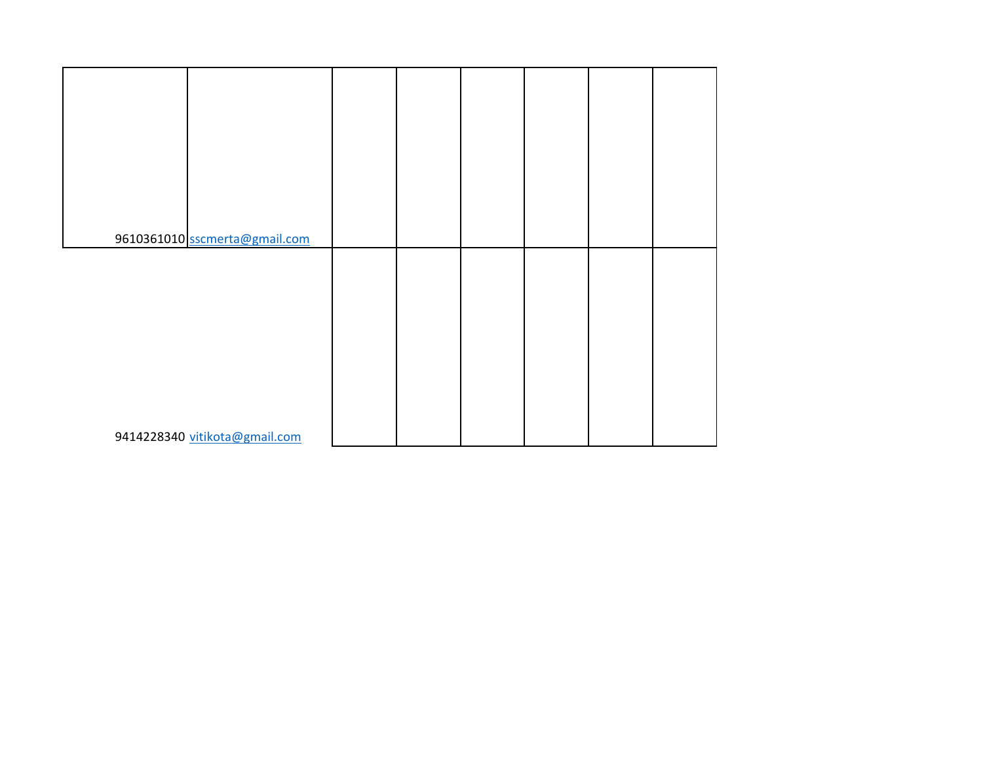| 9610361010 sscmerta@gmail.com |  |  |  |
|-------------------------------|--|--|--|
|                               |  |  |  |
|                               |  |  |  |
|                               |  |  |  |
|                               |  |  |  |
|                               |  |  |  |
|                               |  |  |  |
|                               |  |  |  |
|                               |  |  |  |
|                               |  |  |  |
|                               |  |  |  |
|                               |  |  |  |
|                               |  |  |  |
|                               |  |  |  |
| 9414228340 vitikota@gmail.com |  |  |  |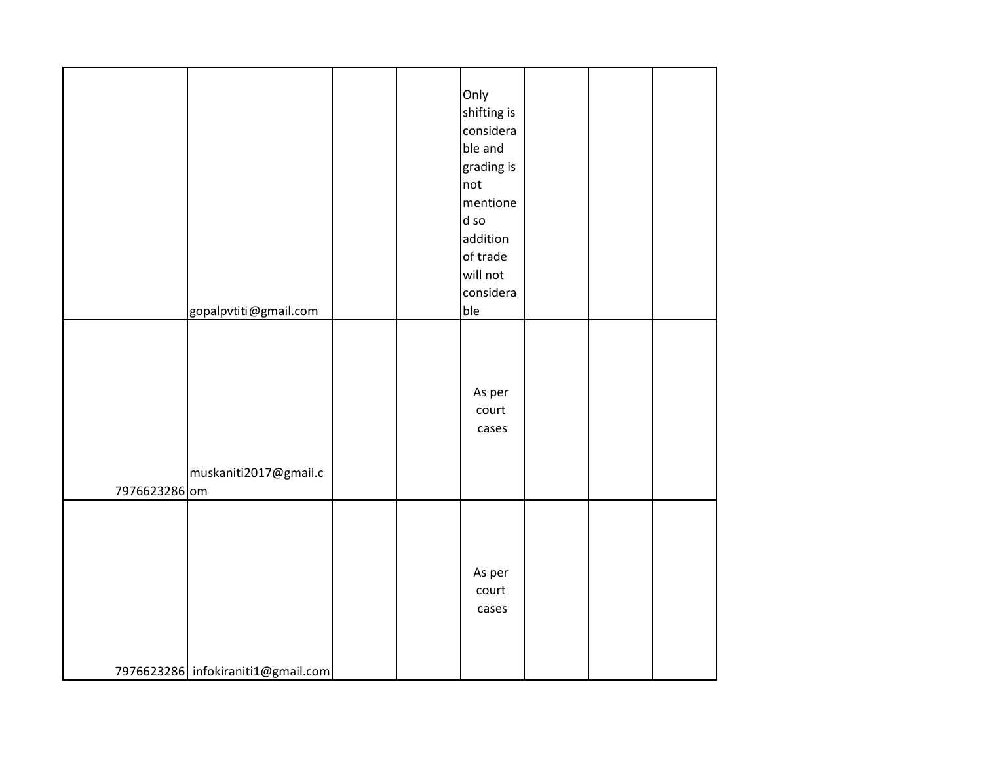|               |                                    |  | Only<br>shifting is<br>considera<br>ble and<br>grading is<br>not<br>mentione |  |  |
|---------------|------------------------------------|--|------------------------------------------------------------------------------|--|--|
|               |                                    |  | d so<br>addition                                                             |  |  |
|               |                                    |  | of trade                                                                     |  |  |
|               |                                    |  | will not                                                                     |  |  |
|               |                                    |  | considera                                                                    |  |  |
|               | gopalpvtiti@gmail.com              |  | ble                                                                          |  |  |
| 7976623286 om | muskaniti2017@gmail.c              |  | As per<br>court<br>cases                                                     |  |  |
|               | 7976623286 infokiraniti1@gmail.com |  | As per<br>court<br>cases                                                     |  |  |